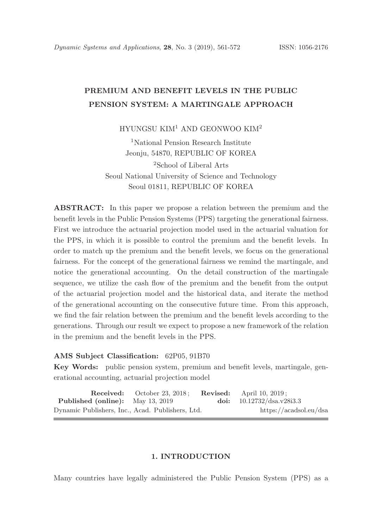# PREMIUM AND BENEFIT LEVELS IN THE PUBLIC PENSION SYSTEM: A MARTINGALE APPROACH

HYUNGSU KIM<sup>1</sup> AND GEONWOO KIM<sup>2</sup>

<sup>1</sup>National Pension Research Institute Jeonju, 54870, REPUBLIC OF KOREA

<sup>2</sup>School of Liberal Arts Seoul National University of Science and Technology Seoul 01811, REPUBLIC OF KOREA

ABSTRACT: In this paper we propose a relation between the premium and the benefit levels in the Public Pension Systems (PPS) targeting the generational fairness. First we introduce the actuarial projection model used in the actuarial valuation for the PPS, in which it is possible to control the premium and the benefit levels. In order to match up the premium and the benefit levels, we focus on the generational fairness. For the concept of the generational fairness we remind the martingale, and notice the generational accounting. On the detail construction of the martingale sequence, we utilize the cash flow of the premium and the benefit from the output of the actuarial projection model and the historical data, and iterate the method of the generational accounting on the consecutive future time. From this approach, we find the fair relation between the premium and the benefit levels according to the generations. Through our result we expect to propose a new framework of the relation in the premium and the benefit levels in the PPS.

## AMS Subject Classification: 62P05, 91B70

Key Words: public pension system, premium and benefit levels, martingale, generational accounting, actuarial projection model

**Received:** October 23, 2018; **Revised:** April 10, 2019;<br> **1** (online): May 13, 2019 **doi:**  $10.12732/\text{dsa.v28i3.3}$ Published (online): May 13, 2019 Dynamic Publishers, Inc., Acad. Publishers, Ltd. https://acadsol.eu/dsa

# 1. INTRODUCTION

Many countries have legally administered the Public Pension System (PPS) as a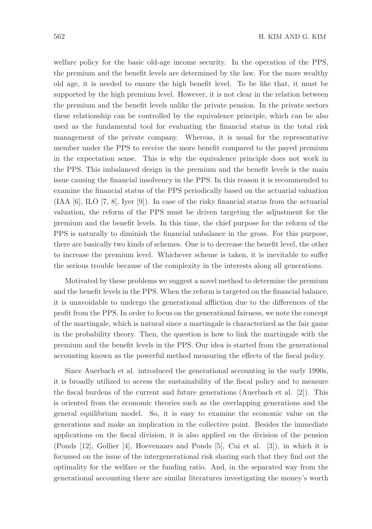welfare policy for the basic old-age income security. In the operation of the PPS, the premium and the benefit levels are determined by the law. For the more wealthy old age, it is needed to ensure the high benefit level. To be like that, it must be supported by the high premium level. However, it is not clear in the relation between the premium and the benefit levels unlike the private pension. In the private sectors these relationship can be controlled by the equivalence principle, which can be also used as the fundamental tool for evaluating the financial status in the total risk management of the private company. Whereas, it is usual for the representative member under the PPS to receive the more benefit compared to the payed premium in the expectation sense. This is why the equivalence principle does not work in the PPS. This imbalanced design in the premium and the benefit levels is the main issue causing the financial insolvency in the PPS. In this reason it is recommended to examine the financial status of the PPS periodically based on the actuarial valuation (IAA [6], ILO [7, 8], Iyer [9]). In case of the risky financial status from the actuarial valuation, the reform of the PPS must be driven targeting the adjustment for the premium and the benefit levels. In this time, the chief purpose for the reform of the PPS is naturally to diminish the financial unbalance in the gross. For this purpose, there are basically two kinds of schemes. One is to decrease the benefit level, the other to increase the premium level. Whichever scheme is taken, it is inevitable to suffer the serious trouble because of the complexity in the interests along all generations.

Motivated by these problems we suggest a novel method to determine the premium and the benefit levels in the PPS. When the reform is targeted on the financial balance, it is unavoidable to undergo the generational affliction due to the differences of the profit from the PPS. In order to focus on the generational fairness, we note the concept of the martingale, which is natural since a martingale is characterized as the fair game in the probability theory. Then, the question is how to link the martingale with the premium and the benefit levels in the PPS. Our idea is started from the generational accounting known as the powerful method measuring the effects of the fiscal policy.

Since Auerbach et al. introduced the generational accounting in the early 1990s, it is broadly utilized to access the sustainability of the fiscal policy and to measure the fiscal burdens of the current and future generations (Auerbach et al. [2]). This is oriented from the economic theories such as the overlapping generations and the general equilibrium model. So, it is easy to examine the economic value on the generations and make an implication in the collective point. Besides the immediate applications on the fiscal division, it is also applied on the division of the pension (Ponds [12], Gollier [4], Hoevenaars and Ponds [5], Cui et al. [3]), in which it is focussed on the issue of the intergenerational risk sharing such that they find out the optimality for the welfare or the funding ratio. And, in the separated way from the generational accounting there are similar literatures investigating the money's worth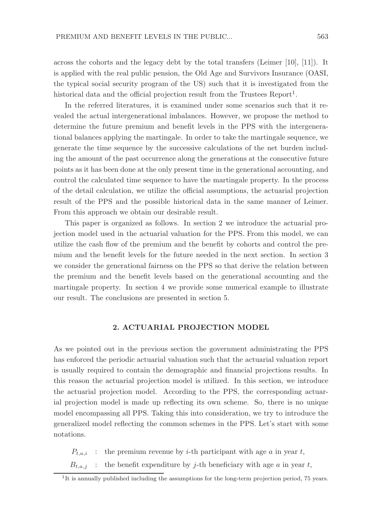across the cohorts and the legacy debt by the total transfers (Leimer [10], [11]). It is applied with the real public pension, the Old Age and Survivors Insurance (OASI, the typical social security program of the US) such that it is investigated from the historical data and the official projection result from the Trustees Report<sup>1</sup>.

In the referred literatures, it is examined under some scenarios such that it revealed the actual intergenerational imbalances. However, we propose the method to determine the future premium and benefit levels in the PPS with the intergenerational balances applying the martingale. In order to take the martingale sequence, we generate the time sequence by the successive calculations of the net burden including the amount of the past occurrence along the generations at the consecutive future points as it has been done at the only present time in the generational accounting, and control the calculated time sequence to have the martingale property. In the process of the detail calculation, we utilize the official assumptions, the actuarial projection result of the PPS and the possible historical data in the same manner of Leimer. From this approach we obtain our desirable result.

This paper is organized as follows. In section 2 we introduce the actuarial projection model used in the actuarial valuation for the PPS. From this model, we can utilize the cash flow of the premium and the benefit by cohorts and control the premium and the benefit levels for the future needed in the next section. In section 3 we consider the generational fairness on the PPS so that derive the relation between the premium and the benefit levels based on the generational accounting and the martingale property. In section 4 we provide some numerical example to illustrate our result. The conclusions are presented in section 5.

# 2. ACTUARIAL PROJECTION MODEL

As we pointed out in the previous section the government administrating the PPS has enforced the periodic actuarial valuation such that the actuarial valuation report is usually required to contain the demographic and financial projections results. In this reason the actuarial projection model is utilized. In this section, we introduce the actuarial projection model. According to the PPS, the corresponding actuarial projection model is made up reflecting its own scheme. So, there is no unique model encompassing all PPS. Taking this into consideration, we try to introduce the generalized model reflecting the common schemes in the PPS. Let's start with some notations.

 $P_{t,a,i}$ : the premium revenue by *i*-th participant with age *a* in year *t*,

 $B_{t,a,j}$ : the benefit expenditure by j-th beneficiary with age a in year t,

<sup>&</sup>lt;sup>1</sup>It is annually published including the assumptions for the long-term projection period, 75 years.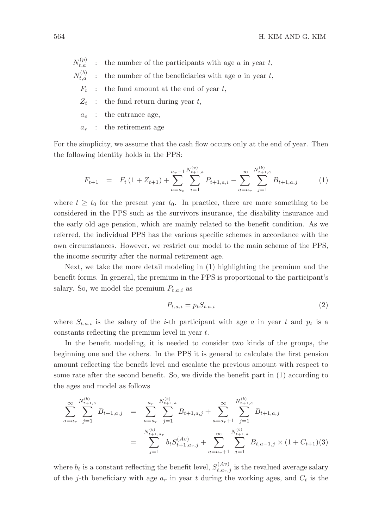- $N_{t,a}^{(p)}$  $\therefore$  the number of the participants with age a in year t,
- $N_{t.a}^{(b)}$  $\therefore$  the number of the beneficiaries with age  $a$  in year  $t$ ,
	- $F_t$ : the fund amount at the end of year t,
	- $Z_t$  : the fund return during year t,
	- $a_e$ : the entrance age,
	- $a_r$ : the retirement age

For the simplicity, we assume that the cash flow occurs only at the end of year. Then the following identity holds in the PPS:

$$
F_{t+1} = F_t \left(1 + Z_{t+1}\right) + \sum_{a=a_e}^{a_r - 1} \sum_{i=1}^{N_{t+1,a}^{(p)}} P_{t+1,a,i} - \sum_{a=a_r}^{\infty} \sum_{j=1}^{N_{t+1,a}^{(b)}} B_{t+1,a,j} \tag{1}
$$

where  $t \geq t_0$  for the present year  $t_0$ . In practice, there are more something to be considered in the PPS such as the survivors insurance, the disability insurance and the early old age pension, which are mainly related to the benefit condition. As we referred, the individual PPS has the various specific schemes in accordance with the own circumstances. However, we restrict our model to the main scheme of the PPS, the income security after the normal retirement age.

Next, we take the more detail modeling in (1) highlighting the premium and the benefit forms. In general, the premium in the PPS is proportional to the participant's salary. So, we model the premium  $P_{t,a,i}$  as

$$
P_{t,a,i} = p_t S_{t,a,i} \tag{2}
$$

where  $S_{t,a,i}$  is the salary of the *i*-th participant with age a in year t and  $p_t$  is a constants reflecting the premium level in year t.

In the benefit modeling, it is needed to consider two kinds of the groups, the beginning one and the others. In the PPS it is general to calculate the first pension amount reflecting the benefit level and escalate the previous amount with respect to some rate after the second benefit. So, we divide the benefit part in (1) according to the ages and model as follows

$$
\sum_{a=a_r}^{\infty} \sum_{j=1}^{N_{t+1,a}^{(b)}} B_{t+1,a,j} = \sum_{a=a_r}^{n} \sum_{j=1}^{N_{t+1,a}^{(b)}} B_{t+1,a,j} + \sum_{a=a_r+1}^{\infty} \sum_{j=1}^{N_{t+1,a}^{(b)}} B_{t+1,a,j}
$$
  

$$
= \sum_{j=1}^{N_{t+1,a_r}^{(b)}} b_t S_{t+1,a_r,j}^{(Av)} + \sum_{a=a_r+1}^{\infty} \sum_{j=1}^{N_{t+1,a}^{(b)}} B_{t,a-1,j} \times (1 + C_{t+1})(3)
$$

where  $b_t$  is a constant reflecting the benefit level,  $S_{t,a_r,j}^{(Av)}$  is the revalued average salary of the j-th beneficiary with age  $a_r$  in year t during the working ages, and  $C_t$  is the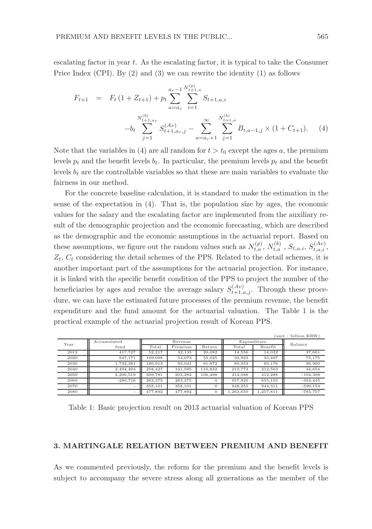escalating factor in year  $t$ . As the escalating factor, it is typical to take the Consumer Price Index (CPI). By (2) and (3) we can rewrite the identity (1) as follows

$$
F_{t+1} = F_t (1 + Z_{t+1}) + p_t \sum_{a=a_e}^{a_r-1} \sum_{i=1}^{N_{t+1,a}^{(p)}} S_{t+1,a,i}
$$
  

$$
-b_t \sum_{j=1}^{N_{t+1,a_r}^{(b)}} S_{t+1,a_r,j}^{(Av)} - \sum_{a=a_r+1}^{\infty} \sum_{j=1}^{N_{t+1,a}^{(b)}} B_{t,a-1,j} \times (1 + C_{t+1}). \tag{4}
$$

Note that the variables in (4) are all random for  $t > t_0$  except the ages a, the premium levels  $p_t$  and the benefit levels  $b_t$ . In particular, the premium levels  $p_t$  and the benefit levels  $b_t$  are the controllable variables so that these are main variables to evaluate the fairness in our method.

For the concrete baseline calculation, it is standard to make the estimation in the sense of the expectation in (4). That is, the population size by ages, the economic values for the salary and the escalating factor are implemented from the auxiliary result of the demographic projection and the economic forecasting, which are described as the demographic and the economic assumptions in the actuarial report. Based on these assumptions, we figure out the random values such as  $N_{t,a}^{(p)}$ ,  $N_{t,a}^{(b)}$ ,  $S_{t,a,i}$ ,  $S_{t,a,i}^{(Av)}$ ,  $Z_t$ ,  $C_t$  considering the detail schemes of the PPS. Related to the detail schemes, it is another important part of the assumptions for the actuarial projection. For instance, it is linked with the specific benefit condition of the PPS to project the number of the beneficiaries by ages and revalue the average salary  $S_{t+1,a,j}^{(Av)}$ . Through these procedure, we can have the estimated future processes of the premium revenue, the benefit expenditure and the fund amount for the actuarial valuation. The Table 1 is the practical example of the actuarial projection result of Korean PPS.

| (unit : billion KRW) |             |         |         |          |             |           |            |
|----------------------|-------------|---------|---------|----------|-------------|-----------|------------|
| Year                 | Accumulated | Revenue |         |          | Expenditure |           | Balance    |
|                      | fund        | Total   | Premium | Return   | Total       | Benefit   |            |
| 2013                 | 417.727     | 52.217  | 32,135  | 20.082   | 14,556      | 14.032    | 37,661     |
| 2020                 | 847.171     | 109.098 | 54,073  | 55.025   | 33.923      | 33,487    | 75.175     |
| 2030                 | 1.732.381   | 186.913 | 95.041  | 91.872   | 89.953      | 89.176    | 96,960     |
| 2040                 | 2.494.494   | 258.427 | 141.595 | 116.832  | 213.773     | 212.563   | 44.654     |
| 2050                 | 2.200.519   | 309,781 | 203.282 | 106,498  | 414.088     | 412.288   | $-104.308$ |
| 2060                 | $-280.716$  | 263.375 | 263.375 | $\theta$ | 657.820     | 655.155   | $-394.445$ |
| 2070                 | -           | 358.101 | 358.101 | $\Omega$ | 948.255     | 944.311   | $-590.154$ |
| 2080                 |             | 477.892 | 477,892 | $\theta$ | .263.650    | 1.257.811 | $-785.757$ |

Table 1: Basic projection result on 2013 actuarial valuation of Korean PPS

#### 3. MARTINGALE RELATION BETWEEN PREMIUM AND BENEFIT

As we commented previously, the reform for the premium and the benefit levels is subject to accompany the severe stress along all generations as the member of the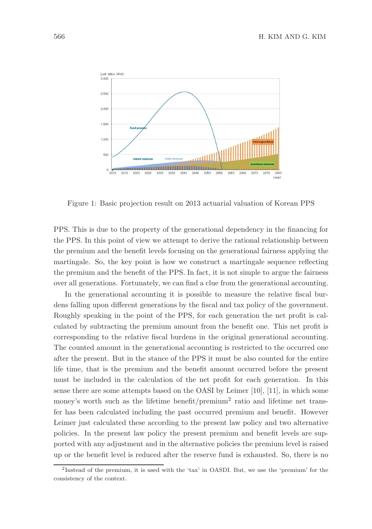

Figure 1: Basic projection result on 2013 actuarial valuation of Korean PPS

PPS. This is due to the property of the generational dependency in the financing for the PPS. In this point of view we attempt to derive the rational relationship between the premium and the benefit levels focusing on the generational fairness applying the martingale. So, the key point is how we construct a martingale sequence reflecting the premium and the benefit of the PPS. In fact, it is not simple to argue the fairness over all generations. Fortunately, we can find a clue from the generational accounting.

In the generational accounting it is possible to measure the relative fiscal burdens falling upon different generations by the fiscal and tax policy of the government. Roughly speaking in the point of the PPS, for each generation the net profit is calculated by subtracting the premium amount from the benefit one. This net profit is corresponding to the relative fiscal burdens in the original generational accounting. The counted amount in the generational accounting is restricted to the occurred one after the present. But in the stance of the PPS it must be also counted for the entire life time, that is the premium and the benefit amount occurred before the present must be included in the calculation of the net profit for each generation. In this sense there are some attempts based on the OASI by Leimer [10], [11], in which some money's worth such as the lifetime benefit/premium<sup>2</sup> ratio and lifetime net transfer has been calculated including the past occurred premium and benefit. However Leimer just calculated these according to the present law policy and two alternative policies. In the present law policy the present premium and benefit levels are supported with any adjustment and in the alternative policies the premium level is raised up or the benefit level is reduced after the reserve fund is exhausted. So, there is no

<sup>&</sup>lt;sup>2</sup>Instead of the premium, it is used with the 'tax' in OASDI. But, we use the 'premium' for the consistency of the context.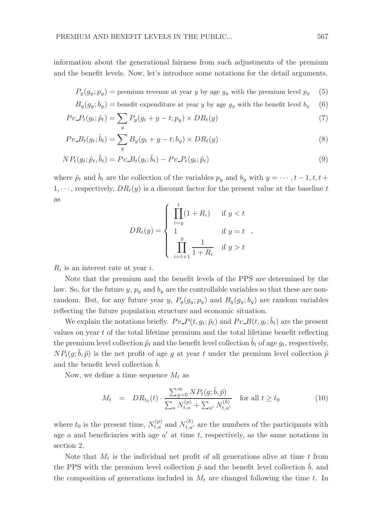information about the generational fairness from such adjustments of the premium and the benefit levels. Now, let's introduce some notations for the detail arguments.

$$
P_y(g_y; p_y) = \text{premium revenue at year } y \text{ by age } g_y \text{ with the premium level } p_y \quad (5)
$$

$$
B_y(g_y; b_y) = \text{ benefit expenditure at year } y \text{ by age } g_y \text{ with the benefit level } b_y \quad (6)
$$

$$
Pv_P(g_t; \tilde{p}_t) = \sum_y P_y(g_t + y - t; p_y) \times DR_t(y)
$$
\n<sup>(7)</sup>

$$
Pv_{-}B_t(g_t; \tilde{b}_t) = \sum_{y} B_y(g_t + y - t; b_y) \times DR_t(y)
$$
\n(8)

$$
NP_t(g_t; \tilde{p}_t, \tilde{b}_t) = Pv \_B_t(g_t; \tilde{b}_t) - Pv \_B_t(g_t; \tilde{p}_t)
$$
\n
$$
(9)
$$

where  $\tilde{p}_t$  and  $\tilde{b}_t$  are the collection of the variables  $p_y$  and  $b_y$  with  $y = \cdots, t-1, t, t+1$  $1, \dots$ , respectively,  $DR_t(y)$  is a discount factor for the present value at the baseline t as

$$
DR_t(y) = \begin{cases} \prod_{i=y}^t (1 + R_i) & \text{if } y < t \\ 1 & \text{if } y = t \\ \prod_{i=t+1}^y \frac{1}{1 + R_i} & \text{if } y > t \end{cases}
$$

 $R_i$  is an interest rate at year *i*.

Note that the premium and the benefit levels of the PPS are determined by the law. So, for the future y,  $p_y$  and  $b_y$  are the controllable variables so that these are nonrandom. But, for any future year y,  $P_y(g_y; p_y)$  and  $B_y(g_y; b_y)$  are random variables reflecting the future population structure and economic situation.

We explain the notations briefly.  $P v_P(t, g_t; \tilde{p}_t)$  and  $P v_P(t, g_t; \tilde{b}_t)$  are the present values on year  $t$  of the total lifetime premium and the total lifetime benefit reflecting the premium level collection  $\tilde{p}_t$  and the benefit level collection  $\tilde{b}_t$  of age  $g_t$ , respectively,  $NP_t(g, \tilde{b}, \tilde{p})$  is the net profit of age g at year t under the premium level collection  $\tilde{p}$ and the benefit level collection  $b$ .

Now, we define a time sequence  $M_t$  as

$$
M_t = DR_{t_0}(t) \cdot \frac{\sum_{g=0}^{\infty} NP_t(g; \tilde{b}, \tilde{p})}{\sum_a N_{t,a}^{(p)} + \sum_{a'} N_{t,a'}^{(b)}} \quad \text{for all } t \ge t_0
$$
 (10)

where  $t_0$  is the present time,  $N_{t,a}^{(p)}$  and  $N_{t,a'}^{(b)}$  are the numbers of the participants with age  $a$  and beneficiaries with age  $a'$  at time  $t$ , respectively, as the same notations in section 2.

Note that  $M_t$  is the individual net profit of all generations alive at time t from the PPS with the premium level collection  $\tilde{p}$  and the benefit level collection  $b$ , and the composition of generations included in  $M_t$  are changed following the time t. In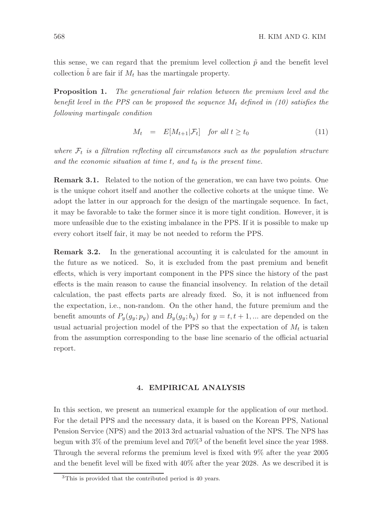this sense, we can regard that the premium level collection  $\tilde{p}$  and the benefit level collection  $\hat{b}$  are fair if  $M_t$  has the martingale property.

**Proposition 1.** The generational fair relation between the premium level and the benefit level in the PPS can be proposed the sequence  $M_t$  defined in (10) satisfies the following martingale condition

$$
M_t = E[M_{t+1}|\mathcal{F}_t] \quad \text{for all } t \ge t_0 \tag{11}
$$

where  $\mathcal{F}_t$  is a filtration reflecting all circumstances such as the population structure and the economic situation at time t, and  $t_0$  is the present time.

Remark 3.1. Related to the notion of the generation, we can have two points. One is the unique cohort itself and another the collective cohorts at the unique time. We adopt the latter in our approach for the design of the martingale sequence. In fact, it may be favorable to take the former since it is more tight condition. However, it is more unfeasible due to the existing imbalance in the PPS. If it is possible to make up every cohort itself fair, it may be not needed to reform the PPS.

Remark 3.2. In the generational accounting it is calculated for the amount in the future as we noticed. So, it is excluded from the past premium and benefit effects, which is very important component in the PPS since the history of the past effects is the main reason to cause the financial insolvency. In relation of the detail calculation, the past effects parts are already fixed. So, it is not influenced from the expectation, i.e., non-random. On the other hand, the future premium and the benefit amounts of  $P_y(g_y; p_y)$  and  $B_y(g_y; b_y)$  for  $y = t, t + 1, ...$  are depended on the usual actuarial projection model of the PPS so that the expectation of  $M_t$  is taken from the assumption corresponding to the base line scenario of the official actuarial report.

# 4. EMPIRICAL ANALYSIS

In this section, we present an numerical example for the application of our method. For the detail PPS and the necessary data, it is based on the Korean PPS, National Pension Service (NPS) and the 2013 3rd actuarial valuation of the NPS. The NPS has begun with 3% of the premium level and 70%<sup>3</sup> of the benefit level since the year 1988. Through the several reforms the premium level is fixed with 9% after the year 2005 and the benefit level will be fixed with 40% after the year 2028. As we described it is

<sup>3</sup>This is provided that the contributed period is 40 years.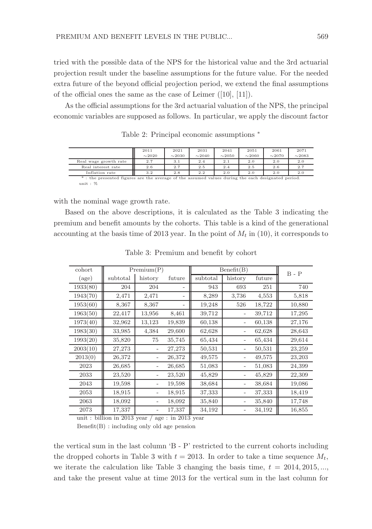tried with the possible data of the NPS for the historical value and the 3rd actuarial projection result under the baseline assumptions for the future value. For the needed extra future of the beyond official projection period, we extend the final assumptions of the official ones the same as the case of Leimer ([10], [11]).

As the official assumptions for the 3rd actuarial valuation of the NPS, the principal economic variables are supposed as follows. In particular, we apply the discount factor

|                                                                                                   | 2011        | 2021        | 2031        | 2041        | 2051        | 2061        | 2071        |
|---------------------------------------------------------------------------------------------------|-------------|-------------|-------------|-------------|-------------|-------------|-------------|
|                                                                                                   | $\sim$ 2020 | $\sim$ 2030 | $\sim$ 2040 | $\sim$ 2050 | $\sim$ 2060 | $\sim$ 2070 | $\sim$ 2083 |
| Real wage growth rate                                                                             | 2.7         | 3.1         | 2.4         | 2.1         | 2.0         | 2.0         | 2.0         |
| Real interest rate                                                                                | 2.6         | 2.7         | 2.5         | 2.4         | 2.5         | 2.6         | 2.7         |
| Inflation rate                                                                                    | 3.2         | 2.8         | 2.2         | 2.0         | 2.0         | 2.0         | 2.0         |
| *: the presented figures are the average of the assumed values during the each designated period. |             |             |             |             |             |             |             |
| unit: $%$                                                                                         |             |             |             |             |             |             |             |

Table 2: Principal economic assumptions <sup>∗</sup>

with the nominal wage growth rate.

Based on the above descriptions, it is calculated as the Table 3 indicating the premium and benefit amounts by the cohorts. This table is a kind of the generational accounting at the basis time of 2013 year. In the point of  $M_t$  in (10), it corresponds to

| cohort   | Premium(P) |         |        | Benefit(B) |                   |        | $B - P$ |
|----------|------------|---------|--------|------------|-------------------|--------|---------|
| (age)    | subtotal   | history | future | subtotal   | history           | future |         |
| 1933(80) | 204        | 204     |        | 943        | 693               | 251    | 740     |
| 1943(70) | 2,471      | 2,471   |        | 8,289      | 3,736             | 4,553  | 5,818   |
| 1953(60) | 8,367      | 8,367   |        | 19,248     | 526               | 18,722 | 10,880  |
| 1963(50) | 22,417     | 13,956  | 8,461  | 39,712     |                   | 39,712 | 17,295  |
| 1973(40) | 32,962     | 13,123  | 19,839 | 60,138     |                   | 60,138 | 27,176  |
| 1983(30) | 33,985     | 4,384   | 29,600 | 62,628     |                   | 62,628 | 28,643  |
| 1993(20) | 35,820     | 75      | 35,745 | 65,434     | $\qquad \qquad -$ | 65,434 | 29,614  |
| 2003(10) | 27,273     |         | 27,273 | 50,531     | $\qquad \qquad -$ | 50,531 | 23,259  |
| 2013(0)  | 26,372     |         | 26,372 | 49,575     |                   | 49,575 | 23,203  |
| 2023     | 26,685     |         | 26,685 | 51,083     |                   | 51,083 | 24,399  |
| 2033     | 23,520     |         | 23,520 | 45,829     |                   | 45,829 | 22,309  |
| 2043     | 19,598     |         | 19,598 | 38,684     |                   | 38,684 | 19,086  |
| 2053     | 18,915     |         | 18,915 | 37,333     |                   | 37,333 | 18,419  |
| 2063     | 18,092     |         | 18,092 | 35,840     |                   | 35,840 | 17,748  |
| 2073     | 17,337     |         | 17,337 | 34,192     |                   | 34,192 | 16,855  |

Table 3: Premium and benefit by cohort

unit : billion in 2013 year / age : in 2013 year  $Benefit(B)$ : including only old age pension

the vertical sum in the last column 'B - P' restricted to the current cohorts including the dropped cohorts in Table 3 with  $t = 2013$ . In order to take a time sequence  $M_t$ , we iterate the calculation like Table 3 changing the basis time,  $t = 2014, 2015, \ldots$ and take the present value at time 2013 for the vertical sum in the last column for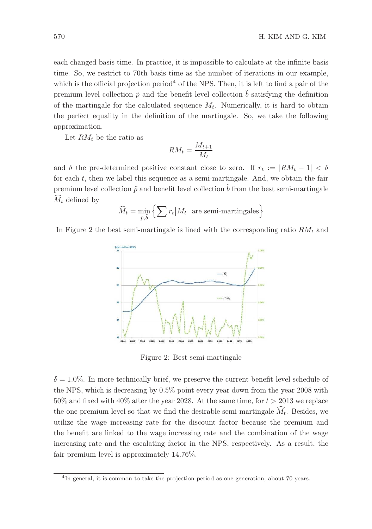each changed basis time. In practice, it is impossible to calculate at the infinite basis time. So, we restrict to 70th basis time as the number of iterations in our example, which is the official projection period<sup>4</sup> of the NPS. Then, it is left to find a pair of the premium level collection  $\tilde{p}$  and the benefit level collection  $\tilde{b}$  satisfying the definition of the martingale for the calculated sequence  $M_t$ . Numerically, it is hard to obtain the perfect equality in the definition of the martingale. So, we take the following approximation.

Let  $RM_t$  be the ratio as

$$
RM_t = \frac{M_{t+1}}{M_t}
$$

and  $\delta$  the pre-determined positive constant close to zero. If  $r_t := |RM_t - 1| < \delta$ for each  $t$ , then we label this sequence as a semi-martingale. And, we obtain the fair premium level collection  $\tilde{p}$  and benefit level collection  $\tilde{b}$  from the best semi-martingale  $\hat{M}_t$  defined by

$$
\widehat{M}_t = \min_{\tilde{p}, \tilde{b}} \left\{ \sum r_t \big| M_t \text{ are semi-martingales} \right\}
$$

In Figure 2 the best semi-martingale is lined with the corresponding ratio  $RM_t$  and



Figure 2: Best semi-martingale

 $\delta = 1.0\%$ . In more technically brief, we preserve the current benefit level schedule of the NPS, which is decreasing by 0.5% point every year down from the year 2008 with  $50\%$  and fixed with  $40\%$  after the year 2028. At the same time, for  $t > 2013$  we replace the one premium level so that we find the desirable semi-martingale  $\widehat{M}_t$ . Besides, we utilize the wage increasing rate for the discount factor because the premium and the benefit are linked to the wage increasing rate and the combination of the wage increasing rate and the escalating factor in the NPS, respectively. As a result, the fair premium level is approximately 14.76%.

<sup>&</sup>lt;sup>4</sup>In general, it is common to take the projection period as one generation, about 70 years.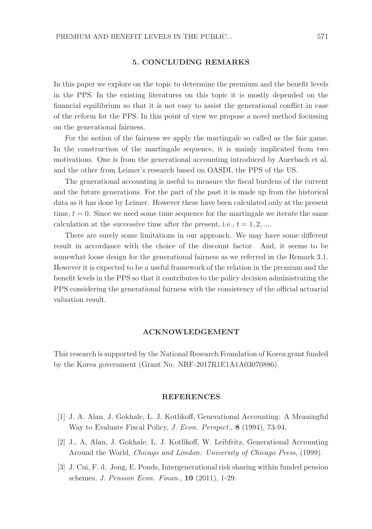#### 5. CONCLUDING REMARKS

In this paper we explore on the topic to determine the premium and the benefit levels in the PPS. In the existing literatures on this topic it is mostly depended on the financial equilibrium so that it is not easy to assist the generational conflict in case of the reform for the PPS. In this point of view we propose a novel method focussing on the generational fairness.

For the notion of the fairness we apply the martingale so called as the fair game. In the construction of the martingale sequence, it is mainly implicated from two motivations. One is from the generational accounting introduced by Auerbach et al. and the other from Leimer's research based on OASDI, the PPS of the US.

The generational accounting is useful to measure the fiscal burdens of the current and the future generations. For the part of the past it is made up from the historical data as it has done by Leimer. However these have been calculated only at the present time,  $t = 0$ . Since we need some time sequence for the martingale we iterate the same calculation at the successive time after the present, i.e.,  $t = 1, 2, ...$ 

There are surely some limitations in our approach. We may have some different result in accordance with the choice of the discount factor. And, it seems to be somewhat loose design for the generational fairness as we referred in the Remark 3.1. However it is expected to be a useful framework of the relation in the premium and the benefit levels in the PPS so that it contributes to the policy decision administrating the PPS considering the generational fairness with the consistency of the official actuarial valuation result.

## ACKNOWLEDGEMENT

This research is supported by the National Research Foundation of Korea grant funded by the Korea government (Grant No. NRF-2017R1E1A1A03070886).

## REFERENCES

- [1] J. A. Alan, J. Gokhale, L. J. Kotlikoff, Generational Accounting: A Meaningful Way to Evaluate Fiscal Policy, J. Econ. Perspect., 8 (1994), 73-94.
- [2] J., A. Alan, J. Gokhale, L. J. Kotlikoff, W. Leibfritz, Generational Accounting Around the World, Chicago and London: University of Chicago Press, (1999).
- [3] J. Cui, F. d. Jong, E. Ponds, Intergenerational risk sharing within funded pension schemes, J. Pension Econ. Finan., 10 (2011), 1-29.